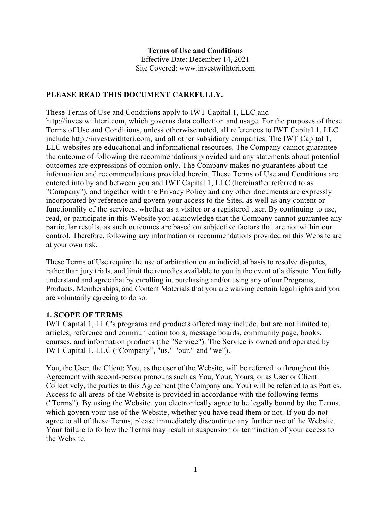### Terms of Use and Conditions Effective Date: December 14, 2021 Site Covered: www.investwithteri.com

## PLEASE READ THIS DOCUMENT CAREFULLY.

These Terms of Use and Conditions apply to IWT Capital 1, LLC and http://investwithteri.com, which governs data collection and usage. For the purposes of these Terms of Use and Conditions, unless otherwise noted, all references to IWT Capital 1, LLC include http://investwithteri.com, and all other subsidiary companies. The IWT Capital 1, LLC websites are educational and informational resources. The Company cannot guarantee the outcome of following the recommendations provided and any statements about potential outcomes are expressions of opinion only. The Company makes no guarantees about the information and recommendations provided herein. These Terms of Use and Conditions are entered into by and between you and IWT Capital 1, LLC (hereinafter referred to as "Company"), and together with the Privacy Policy and any other documents are expressly incorporated by reference and govern your access to the Sites, as well as any content or functionality of the services, whether as a visitor or a registered user. By continuing to use, read, or participate in this Website you acknowledge that the Company cannot guarantee any particular results, as such outcomes are based on subjective factors that are not within our control. Therefore, following any information or recommendations provided on this Website are at your own risk.

These Terms of Use require the use of arbitration on an individual basis to resolve disputes, rather than jury trials, and limit the remedies available to you in the event of a dispute. You fully understand and agree that by enrolling in, purchasing and/or using any of our Programs, Products, Memberships, and Content Materials that you are waiving certain legal rights and you are voluntarily agreeing to do so.

### 1. SCOPE OF TERMS

IWT Capital 1, LLC's programs and products offered may include, but are not limited to, articles, reference and communication tools, message boards, community page, books, courses, and information products (the "Service"). The Service is owned and operated by IWT Capital 1, LLC ("Company", "us," "our," and "we").

You, the User, the Client: You, as the user of the Website, will be referred to throughout this Agreement with second-person pronouns such as You, Your, Yours, or as User or Client. Collectively, the parties to this Agreement (the Company and You) will be referred to as Parties. Access to all areas of the Website is provided in accordance with the following terms ("Terms"). By using the Website, you electronically agree to be legally bound by the Terms, which govern your use of the Website, whether you have read them or not. If you do not agree to all of these Terms, please immediately discontinue any further use of the Website. Your failure to follow the Terms may result in suspension or termination of your access to the Website.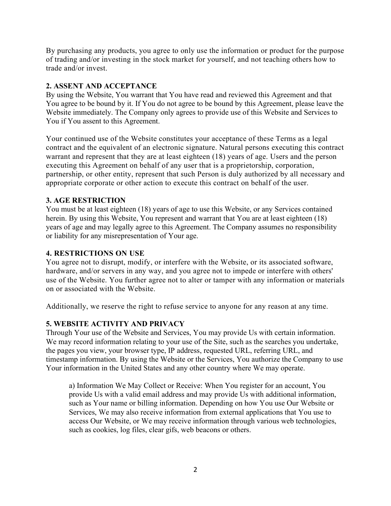By purchasing any products, you agree to only use the information or product for the purpose of trading and/or investing in the stock market for yourself, and not teaching others how to trade and/or invest.

## 2. ASSENT AND ACCEPTANCE

By using the Website, You warrant that You have read and reviewed this Agreement and that You agree to be bound by it. If You do not agree to be bound by this Agreement, please leave the Website immediately. The Company only agrees to provide use of this Website and Services to You if You assent to this Agreement.

Your continued use of the Website constitutes your acceptance of these Terms as a legal contract and the equivalent of an electronic signature. Natural persons executing this contract warrant and represent that they are at least eighteen (18) years of age. Users and the person executing this Agreement on behalf of any user that is a proprietorship, corporation, partnership, or other entity, represent that such Person is duly authorized by all necessary and appropriate corporate or other action to execute this contract on behalf of the user.

# 3. AGE RESTRICTION

You must be at least eighteen (18) years of age to use this Website, or any Services contained herein. By using this Website, You represent and warrant that You are at least eighteen (18) years of age and may legally agree to this Agreement. The Company assumes no responsibility or liability for any misrepresentation of Your age.

## 4. RESTRICTIONS ON USE

You agree not to disrupt, modify, or interfere with the Website, or its associated software, hardware, and/or servers in any way, and you agree not to impede or interfere with others' use of the Website. You further agree not to alter or tamper with any information or materials on or associated with the Website.

Additionally, we reserve the right to refuse service to anyone for any reason at any time.

# 5. WEBSITE ACTIVITY AND PRIVACY

Through Your use of the Website and Services, You may provide Us with certain information. We may record information relating to your use of the Site, such as the searches you undertake, the pages you view, your browser type, IP address, requested URL, referring URL, and timestamp information. By using the Website or the Services, You authorize the Company to use Your information in the United States and any other country where We may operate.

a) Information We May Collect or Receive: When You register for an account, You provide Us with a valid email address and may provide Us with additional information, such as Your name or billing information. Depending on how You use Our Website or Services, We may also receive information from external applications that You use to access Our Website, or We may receive information through various web technologies, such as cookies, log files, clear gifs, web beacons or others.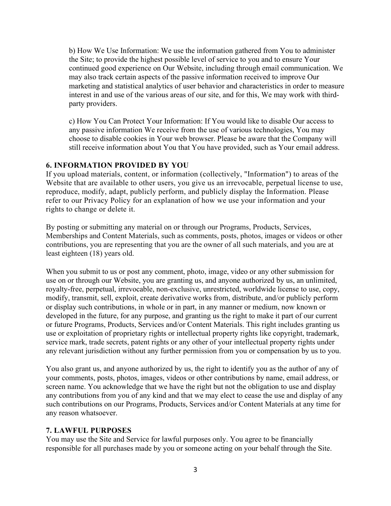b) How We Use Information: We use the information gathered from You to administer the Site; to provide the highest possible level of service to you and to ensure Your continued good experience on Our Website, including through email communication. We may also track certain aspects of the passive information received to improve Our marketing and statistical analytics of user behavior and characteristics in order to measure interest in and use of the various areas of our site, and for this, We may work with thirdparty providers.

c) How You Can Protect Your Information: If You would like to disable Our access to any passive information We receive from the use of various technologies, You may choose to disable cookies in Your web browser. Please be aware that the Company will still receive information about You that You have provided, such as Your email address.

### 6. INFORMATION PROVIDED BY YOU

If you upload materials, content, or information (collectively, "Information") to areas of the Website that are available to other users, you give us an irrevocable, perpetual license to use, reproduce, modify, adapt, publicly perform, and publicly display the Information. Please refer to our Privacy Policy for an explanation of how we use your information and your rights to change or delete it.

By posting or submitting any material on or through our Programs, Products, Services, Memberships and Content Materials, such as comments, posts, photos, images or videos or other contributions, you are representing that you are the owner of all such materials, and you are at least eighteen (18) years old.

When you submit to us or post any comment, photo, image, video or any other submission for use on or through our Website, you are granting us, and anyone authorized by us, an unlimited, royalty-free, perpetual, irrevocable, non-exclusive, unrestricted, worldwide license to use, copy, modify, transmit, sell, exploit, create derivative works from, distribute, and/or publicly perform or display such contributions, in whole or in part, in any manner or medium, now known or developed in the future, for any purpose, and granting us the right to make it part of our current or future Programs, Products, Services and/or Content Materials. This right includes granting us use or exploitation of proprietary rights or intellectual property rights like copyright, trademark, service mark, trade secrets, patent rights or any other of your intellectual property rights under any relevant jurisdiction without any further permission from you or compensation by us to you.

You also grant us, and anyone authorized by us, the right to identify you as the author of any of your comments, posts, photos, images, videos or other contributions by name, email address, or screen name. You acknowledge that we have the right but not the obligation to use and display any contributions from you of any kind and that we may elect to cease the use and display of any such contributions on our Programs, Products, Services and/or Content Materials at any time for any reason whatsoever.

#### 7. LAWFUL PURPOSES

You may use the Site and Service for lawful purposes only. You agree to be financially responsible for all purchases made by you or someone acting on your behalf through the Site.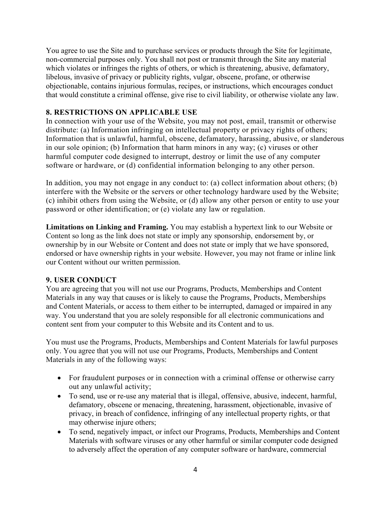You agree to use the Site and to purchase services or products through the Site for legitimate, non-commercial purposes only. You shall not post or transmit through the Site any material which violates or infringes the rights of others, or which is threatening, abusive, defamatory, libelous, invasive of privacy or publicity rights, vulgar, obscene, profane, or otherwise objectionable, contains injurious formulas, recipes, or instructions, which encourages conduct that would constitute a criminal offense, give rise to civil liability, or otherwise violate any law.

## 8. RESTRICTIONS ON APPLICABLE USE

In connection with your use of the Website, you may not post, email, transmit or otherwise distribute: (a) Information infringing on intellectual property or privacy rights of others; Information that is unlawful, harmful, obscene, defamatory, harassing, abusive, or slanderous in our sole opinion; (b) Information that harm minors in any way; (c) viruses or other harmful computer code designed to interrupt, destroy or limit the use of any computer software or hardware, or (d) confidential information belonging to any other person.

In addition, you may not engage in any conduct to: (a) collect information about others; (b) interfere with the Website or the servers or other technology hardware used by the Website; (c) inhibit others from using the Website, or (d) allow any other person or entity to use your password or other identification; or (e) violate any law or regulation.

Limitations on Linking and Framing. You may establish a hypertext link to our Website or Content so long as the link does not state or imply any sponsorship, endorsement by, or ownership by in our Website or Content and does not state or imply that we have sponsored, endorsed or have ownership rights in your website. However, you may not frame or inline link our Content without our written permission.

### 9. USER CONDUCT

You are agreeing that you will not use our Programs, Products, Memberships and Content Materials in any way that causes or is likely to cause the Programs, Products, Memberships and Content Materials, or access to them either to be interrupted, damaged or impaired in any way. You understand that you are solely responsible for all electronic communications and content sent from your computer to this Website and its Content and to us.

You must use the Programs, Products, Memberships and Content Materials for lawful purposes only. You agree that you will not use our Programs, Products, Memberships and Content Materials in any of the following ways:

- For fraudulent purposes or in connection with a criminal offense or otherwise carry out any unlawful activity;
- To send, use or re-use any material that is illegal, offensive, abusive, indecent, harmful, defamatory, obscene or menacing, threatening, harassment, objectionable, invasive of privacy, in breach of confidence, infringing of any intellectual property rights, or that may otherwise injure others;
- To send, negatively impact, or infect our Programs, Products, Memberships and Content Materials with software viruses or any other harmful or similar computer code designed to adversely affect the operation of any computer software or hardware, commercial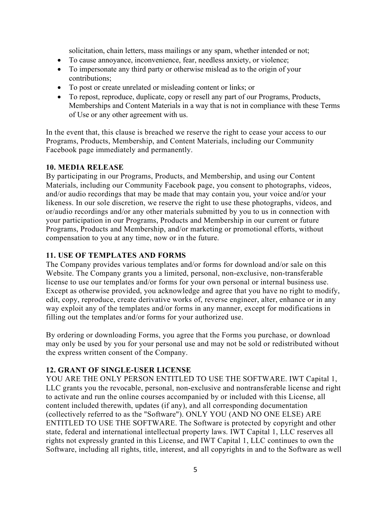solicitation, chain letters, mass mailings or any spam, whether intended or not;

- To cause annoyance, inconvenience, fear, needless anxiety, or violence;
- To impersonate any third party or otherwise mislead as to the origin of your contributions;
- To post or create unrelated or misleading content or links; or
- To repost, reproduce, duplicate, copy or resell any part of our Programs, Products, Memberships and Content Materials in a way that is not in compliance with these Terms of Use or any other agreement with us.

In the event that, this clause is breached we reserve the right to cease your access to our Programs, Products, Membership, and Content Materials, including our Community Facebook page immediately and permanently.

### 10. MEDIA RELEASE

By participating in our Programs, Products, and Membership, and using our Content Materials, including our Community Facebook page, you consent to photographs, videos, and/or audio recordings that may be made that may contain you, your voice and/or your likeness. In our sole discretion, we reserve the right to use these photographs, videos, and or/audio recordings and/or any other materials submitted by you to us in connection with your participation in our Programs, Products and Membership in our current or future Programs, Products and Membership, and/or marketing or promotional efforts, without compensation to you at any time, now or in the future.

### 11. USE OF TEMPLATES AND FORMS

The Company provides various templates and/or forms for download and/or sale on this Website. The Company grants you a limited, personal, non-exclusive, non-transferable license to use our templates and/or forms for your own personal or internal business use. Except as otherwise provided, you acknowledge and agree that you have no right to modify, edit, copy, reproduce, create derivative works of, reverse engineer, alter, enhance or in any way exploit any of the templates and/or forms in any manner, except for modifications in filling out the templates and/or forms for your authorized use.

By ordering or downloading Forms, you agree that the Forms you purchase, or download may only be used by you for your personal use and may not be sold or redistributed without the express written consent of the Company.

### 12. GRANT OF SINGLE-USER LICENSE

YOU ARE THE ONLY PERSON ENTITLED TO USE THE SOFTWARE. IWT Capital 1, LLC grants you the revocable, personal, non-exclusive and nontransferable license and right to activate and run the online courses accompanied by or included with this License, all content included therewith, updates (if any), and all corresponding documentation (collectively referred to as the "Software"). ONLY YOU (AND NO ONE ELSE) ARE ENTITLED TO USE THE SOFTWARE. The Software is protected by copyright and other state, federal and international intellectual property laws. IWT Capital 1, LLC reserves all rights not expressly granted in this License, and IWT Capital 1, LLC continues to own the Software, including all rights, title, interest, and all copyrights in and to the Software as well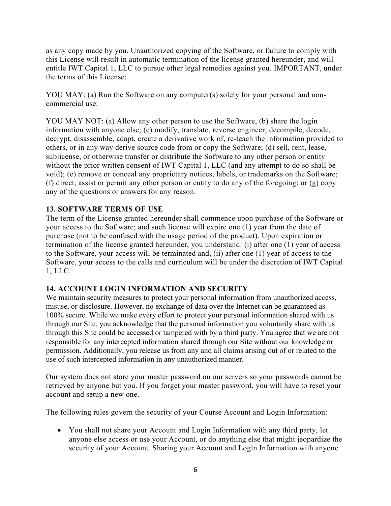as any copy made by you. Unauthorized copying of the Software, or failure to comply with this License will result in automatic termination of the license granted hereunder, and will entitle IWT Capital 1, LLC to pursue other legal remedies against you. IMPORTANT, under the terms of this License:

YOU MAY: (a) Run the Software on any computer(s) solely for your personal and noncommercial use.

YOU MAY NOT: (a) Allow any other person to use the Software, (b) share the login information with anyone else; (c) modify, translate, reverse engineer, decompile, decode, decrypt, disassemble, adapt, create a derivative work of, re-teach the information provided to others, or in any way derive source code from or copy the Software; (d) sell, rent, lease, sublicense, or otherwise transfer or distribute the Software to any other person or entity without the prior written consent of IWT Capital 1, LLC (and any attempt to do so shall be void); (e) remove or conceal any proprietary notices, labels, or trademarks on the Software; (f) direct, assist or permit any other person or entity to do any of the foregoing; or (g) copy any of the questions or answers for any reason.

# 13. SOFTWARE TERMS OF USE

The term of the License granted hereunder shall commence upon purchase of the Software or your access to the Software; and such license will expire one (1) year from the date of purchase (not to be confused with the usage period of the product). Upon expiration or termination of the license granted hereunder, you understand: (i) after one (1) year of access to the Software, your access will be terminated and, (ii) after one (1) year of access to the Software, your access to the calls and curriculum will be under the discretion of IWT Capital 1, LLC.

### 14. ACCOUNT LOGIN INFORMATION AND SECURITY

We maintain security measures to protect your personal information from unauthorized access, misuse, or disclosure. However, no exchange of data over the Internet can be guaranteed as 100% secure. While we make every effort to protect your personal information shared with us through our Site, you acknowledge that the personal information you voluntarily share with us through this Site could be accessed or tampered with by a third party. You agree that we are not responsible for any intercepted information shared through our Site without our knowledge or permission. Additionally, you release us from any and all claims arising out of or related to the use of such intercepted information in any unauthorized manner.

Our system does not store your master password on our servers so your passwords cannot be retrieved by anyone but you. If you forget your master password, you will have to reset your account and setup a new one.

The following rules govern the security of your Course Account and Login Information:

 You shall not share your Account and Login Information with any third party, let anyone else access or use your Account, or do anything else that might jeopardize the security of your Account. Sharing your Account and Login Information with anyone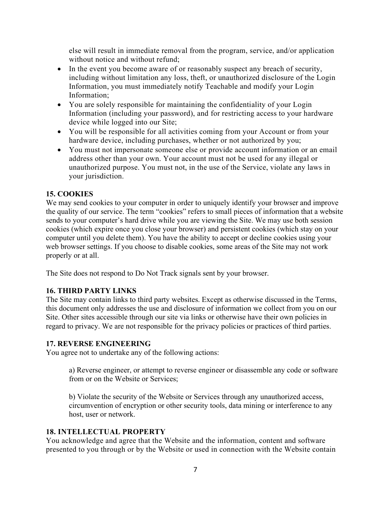else will result in immediate removal from the program, service, and/or application without notice and without refund;

- In the event you become aware of or reasonably suspect any breach of security, including without limitation any loss, theft, or unauthorized disclosure of the Login Information, you must immediately notify Teachable and modify your Login Information;
- You are solely responsible for maintaining the confidentiality of your Login Information (including your password), and for restricting access to your hardware device while logged into our Site;
- You will be responsible for all activities coming from your Account or from your hardware device, including purchases, whether or not authorized by you;
- You must not impersonate someone else or provide account information or an email address other than your own. Your account must not be used for any illegal or unauthorized purpose. You must not, in the use of the Service, violate any laws in your jurisdiction.

# 15. COOKIES

We may send cookies to your computer in order to uniquely identify your browser and improve the quality of our service. The term "cookies" refers to small pieces of information that a website sends to your computer's hard drive while you are viewing the Site. We may use both session cookies (which expire once you close your browser) and persistent cookies (which stay on your computer until you delete them). You have the ability to accept or decline cookies using your web browser settings. If you choose to disable cookies, some areas of the Site may not work properly or at all.

The Site does not respond to Do Not Track signals sent by your browser.

### 16. THIRD PARTY LINKS

The Site may contain links to third party websites. Except as otherwise discussed in the Terms, this document only addresses the use and disclosure of information we collect from you on our Site. Other sites accessible through our site via links or otherwise have their own policies in regard to privacy. We are not responsible for the privacy policies or practices of third parties.

#### 17. REVERSE ENGINEERING

You agree not to undertake any of the following actions:

a) Reverse engineer, or attempt to reverse engineer or disassemble any code or software from or on the Website or Services;

b) Violate the security of the Website or Services through any unauthorized access, circumvention of encryption or other security tools, data mining or interference to any host, user or network.

#### 18. INTELLECTUAL PROPERTY

You acknowledge and agree that the Website and the information, content and software presented to you through or by the Website or used in connection with the Website contain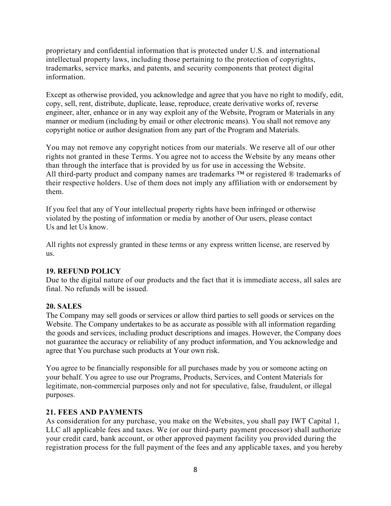proprietary and confidential information that is protected under U.S. and international intellectual property laws, including those pertaining to the protection of copyrights, trademarks, service marks, and patents, and security components that protect digital information.

Except as otherwise provided, you acknowledge and agree that you have no right to modify, edit, copy, sell, rent, distribute, duplicate, lease, reproduce, create derivative works of, reverse engineer, alter, enhance or in any way exploit any of the Website, Program or Materials in any manner or medium (including by email or other electronic means). You shall not remove any copyright notice or author designation from any part of the Program and Materials.

You may not remove any copyright notices from our materials. We reserve all of our other rights not granted in these Terms. You agree not to access the Website by any means other than through the interface that is provided by us for use in accessing the Website. All third-party product and company names are trademarks <sup>™</sup> or registered ® trademarks of their respective holders. Use of them does not imply any affiliation with or endorsement by them.

If you feel that any of Your intellectual property rights have been infringed or otherwise violated by the posting of information or media by another of Our users, please contact Us and let Us know.

All rights not expressly granted in these terms or any express written license, are reserved by us.

### 19. REFUND POLICY

Due to the digital nature of our products and the fact that it is immediate access, all sales are final. No refunds will be issued.

#### 20. SALES

The Company may sell goods or services or allow third parties to sell goods or services on the Website. The Company undertakes to be as accurate as possible with all information regarding the goods and services, including product descriptions and images. However, the Company does not guarantee the accuracy or reliability of any product information, and You acknowledge and agree that You purchase such products at Your own risk.

You agree to be financially responsible for all purchases made by you or someone acting on your behalf. You agree to use our Programs, Products, Services, and Content Materials for legitimate, non-commercial purposes only and not for speculative, false, fraudulent, or illegal purposes.

#### 21. FEES AND PAYMENTS

As consideration for any purchase, you make on the Websites, you shall pay IWT Capital 1, LLC all applicable fees and taxes. We (or our third-party payment processor) shall authorize your credit card, bank account, or other approved payment facility you provided during the registration process for the full payment of the fees and any applicable taxes, and you hereby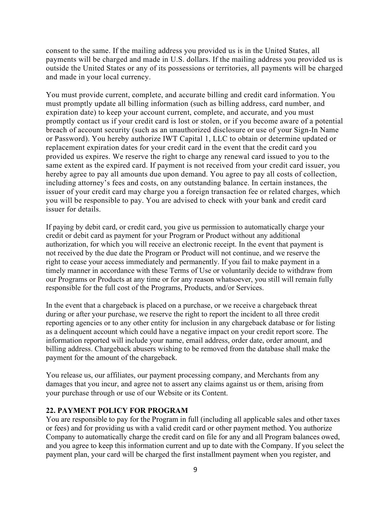consent to the same. If the mailing address you provided us is in the United States, all payments will be charged and made in U.S. dollars. If the mailing address you provided us is outside the United States or any of its possessions or territories, all payments will be charged and made in your local currency.

You must provide current, complete, and accurate billing and credit card information. You must promptly update all billing information (such as billing address, card number, and expiration date) to keep your account current, complete, and accurate, and you must promptly contact us if your credit card is lost or stolen, or if you become aware of a potential breach of account security (such as an unauthorized disclosure or use of your Sign-In Name or Password). You hereby authorize IWT Capital 1, LLC to obtain or determine updated or replacement expiration dates for your credit card in the event that the credit card you provided us expires. We reserve the right to charge any renewal card issued to you to the same extent as the expired card. If payment is not received from your credit card issuer, you hereby agree to pay all amounts due upon demand. You agree to pay all costs of collection, including attorney's fees and costs, on any outstanding balance. In certain instances, the issuer of your credit card may charge you a foreign transaction fee or related charges, which you will be responsible to pay. You are advised to check with your bank and credit card issuer for details.

If paying by debit card, or credit card, you give us permission to automatically charge your credit or debit card as payment for your Program or Product without any additional authorization, for which you will receive an electronic receipt. In the event that payment is not received by the due date the Program or Product will not continue, and we reserve the right to cease your access immediately and permanently. If you fail to make payment in a timely manner in accordance with these Terms of Use or voluntarily decide to withdraw from our Programs or Products at any time or for any reason whatsoever, you still will remain fully responsible for the full cost of the Programs, Products, and/or Services.

In the event that a chargeback is placed on a purchase, or we receive a chargeback threat during or after your purchase, we reserve the right to report the incident to all three credit reporting agencies or to any other entity for inclusion in any chargeback database or for listing as a delinquent account which could have a negative impact on your credit report score. The information reported will include your name, email address, order date, order amount, and billing address. Chargeback abusers wishing to be removed from the database shall make the payment for the amount of the chargeback.

You release us, our affiliates, our payment processing company, and Merchants from any damages that you incur, and agree not to assert any claims against us or them, arising from your purchase through or use of our Website or its Content.

#### 22. PAYMENT POLICY FOR PROGRAM

You are responsible to pay for the Program in full (including all applicable sales and other taxes or fees) and for providing us with a valid credit card or other payment method. You authorize Company to automatically charge the credit card on file for any and all Program balances owed, and you agree to keep this information current and up to date with the Company. If you select the payment plan, your card will be charged the first installment payment when you register, and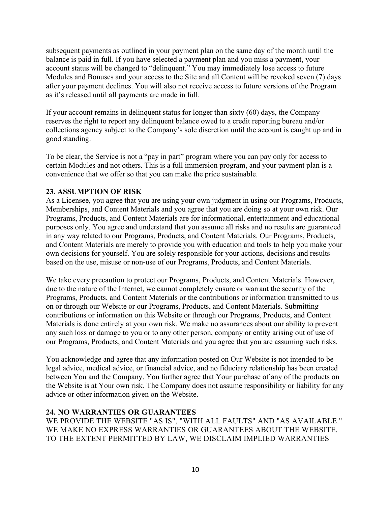subsequent payments as outlined in your payment plan on the same day of the month until the balance is paid in full. If you have selected a payment plan and you miss a payment, your account status will be changed to "delinquent." You may immediately lose access to future Modules and Bonuses and your access to the Site and all Content will be revoked seven (7) days after your payment declines. You will also not receive access to future versions of the Program as it's released until all payments are made in full.

If your account remains in delinquent status for longer than sixty (60) days, the Company reserves the right to report any delinquent balance owed to a credit reporting bureau and/or collections agency subject to the Company's sole discretion until the account is caught up and in good standing.

To be clear, the Service is not a "pay in part" program where you can pay only for access to certain Modules and not others. This is a full immersion program, and your payment plan is a convenience that we offer so that you can make the price sustainable.

### 23. ASSUMPTION OF RISK

As a Licensee, you agree that you are using your own judgment in using our Programs, Products, Memberships, and Content Materials and you agree that you are doing so at your own risk. Our Programs, Products, and Content Materials are for informational, entertainment and educational purposes only. You agree and understand that you assume all risks and no results are guaranteed in any way related to our Programs, Products, and Content Materials. Our Programs, Products, and Content Materials are merely to provide you with education and tools to help you make your own decisions for yourself. You are solely responsible for your actions, decisions and results based on the use, misuse or non-use of our Programs, Products, and Content Materials.

We take every precaution to protect our Programs, Products, and Content Materials. However, due to the nature of the Internet, we cannot completely ensure or warrant the security of the Programs, Products, and Content Materials or the contributions or information transmitted to us on or through our Website or our Programs, Products, and Content Materials. Submitting contributions or information on this Website or through our Programs, Products, and Content Materials is done entirely at your own risk. We make no assurances about our ability to prevent any such loss or damage to you or to any other person, company or entity arising out of use of our Programs, Products, and Content Materials and you agree that you are assuming such risks.

You acknowledge and agree that any information posted on Our Website is not intended to be legal advice, medical advice, or financial advice, and no fiduciary relationship has been created between You and the Company. You further agree that Your purchase of any of the products on the Website is at Your own risk. The Company does not assume responsibility or liability for any advice or other information given on the Website.

#### 24. NO WARRANTIES OR GUARANTEES

WE PROVIDE THE WEBSITE "AS IS", "WITH ALL FAULTS" AND "AS AVAILABLE." WE MAKE NO EXPRESS WARRANTIES OR GUARANTEES ABOUT THE WEBSITE. TO THE EXTENT PERMITTED BY LAW, WE DISCLAIM IMPLIED WARRANTIES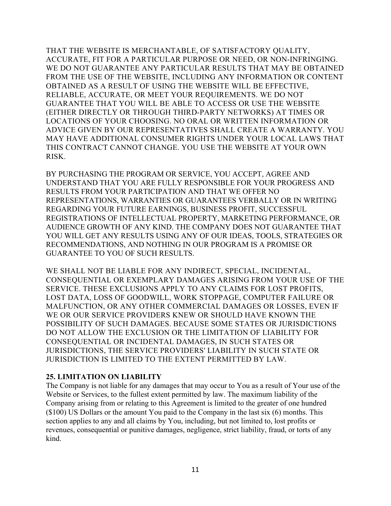THAT THE WEBSITE IS MERCHANTABLE, OF SATISFACTORY QUALITY, ACCURATE, FIT FOR A PARTICULAR PURPOSE OR NEED, OR NON-INFRINGING. WE DO NOT GUARANTEE ANY PARTICULAR RESULTS THAT MAY BE OBTAINED FROM THE USE OF THE WEBSITE, INCLUDING ANY INFORMATION OR CONTENT OBTAINED AS A RESULT OF USING THE WEBSITE WILL BE EFFECTIVE, RELIABLE, ACCURATE, OR MEET YOUR REQUIREMENTS. WE DO NOT GUARANTEE THAT YOU WILL BE ABLE TO ACCESS OR USE THE WEBSITE (EITHER DIRECTLY OR THROUGH THIRD-PARTY NETWORKS) AT TIMES OR LOCATIONS OF YOUR CHOOSING. NO ORAL OR WRITTEN INFORMATION OR ADVICE GIVEN BY OUR REPRESENTATIVES SHALL CREATE A WARRANTY. YOU MAY HAVE ADDITIONAL CONSUMER RIGHTS UNDER YOUR LOCAL LAWS THAT THIS CONTRACT CANNOT CHANGE. YOU USE THE WEBSITE AT YOUR OWN RISK.

BY PURCHASING THE PROGRAM OR SERVICE, YOU ACCEPT, AGREE AND UNDERSTAND THAT YOU ARE FULLY RESPONSIBLE FOR YOUR PROGRESS AND RESULTS FROM YOUR PARTICIPATION AND THAT WE OFFER NO REPRESENTATIONS, WARRANTIES OR GUARANTEES VERBALLY OR IN WRITING REGARDING YOUR FUTURE EARNINGS, BUSINESS PROFIT, SUCCESSFUL REGISTRATIONS OF INTELLECTUAL PROPERTY, MARKETING PERFORMANCE, OR AUDIENCE GROWTH OF ANY KIND. THE COMPANY DOES NOT GUARANTEE THAT YOU WILL GET ANY RESULTS USING ANY OF OUR IDEAS, TOOLS, STRATEGIES OR RECOMMENDATIONS, AND NOTHING IN OUR PROGRAM IS A PROMISE OR GUARANTEE TO YOU OF SUCH RESULTS.

WE SHALL NOT BE LIABLE FOR ANY INDIRECT, SPECIAL, INCIDENTAL, CONSEQUENTIAL OR EXEMPLARY DAMAGES ARISING FROM YOUR USE OF THE SERVICE. THESE EXCLUSIONS APPLY TO ANY CLAIMS FOR LOST PROFITS, LOST DATA, LOSS OF GOODWILL, WORK STOPPAGE, COMPUTER FAILURE OR MALFUNCTION, OR ANY OTHER COMMERCIAL DAMAGES OR LOSSES, EVEN IF WE OR OUR SERVICE PROVIDERS KNEW OR SHOULD HAVE KNOWN THE POSSIBILITY OF SUCH DAMAGES. BECAUSE SOME STATES OR JURISDICTIONS DO NOT ALLOW THE EXCLUSION OR THE LIMITATION OF LIABILITY FOR CONSEQUENTIAL OR INCIDENTAL DAMAGES, IN SUCH STATES OR JURISDICTIONS, THE SERVICE PROVIDERS' LIABILITY IN SUCH STATE OR JURISDICTION IS LIMITED TO THE EXTENT PERMITTED BY LAW.

#### 25. LIMITATION ON LIABILITY

The Company is not liable for any damages that may occur to You as a result of Your use of the Website or Services, to the fullest extent permitted by law. The maximum liability of the Company arising from or relating to this Agreement is limited to the greater of one hundred (\$100) US Dollars or the amount You paid to the Company in the last six (6) months. This section applies to any and all claims by You, including, but not limited to, lost profits or revenues, consequential or punitive damages, negligence, strict liability, fraud, or torts of any kind.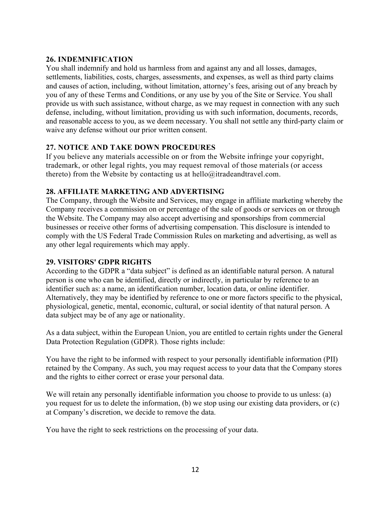## 26. INDEMNIFICATION

You shall indemnify and hold us harmless from and against any and all losses, damages, settlements, liabilities, costs, charges, assessments, and expenses, as well as third party claims and causes of action, including, without limitation, attorney's fees, arising out of any breach by you of any of these Terms and Conditions, or any use by you of the Site or Service. You shall provide us with such assistance, without charge, as we may request in connection with any such defense, including, without limitation, providing us with such information, documents, records, and reasonable access to you, as we deem necessary. You shall not settle any third-party claim or waive any defense without our prior written consent.

# 27. NOTICE AND TAKE DOWN PROCEDURES

If you believe any materials accessible on or from the Website infringe your copyright, trademark, or other legal rights, you may request removal of those materials (or access thereto) from the Website by contacting us at hello@itradeandtravel.com.

# 28. AFFILIATE MARKETING AND ADVERTISING

The Company, through the Website and Services, may engage in affiliate marketing whereby the Company receives a commission on or percentage of the sale of goods or services on or through the Website. The Company may also accept advertising and sponsorships from commercial businesses or receive other forms of advertising compensation. This disclosure is intended to comply with the US Federal Trade Commission Rules on marketing and advertising, as well as any other legal requirements which may apply.

### 29. VISITORS' GDPR RIGHTS

According to the GDPR a "data subject" is defined as an identifiable natural person. A natural person is one who can be identified, directly or indirectly, in particular by reference to an identifier such as: a name, an identification number, location data, or online identifier. Alternatively, they may be identified by reference to one or more factors specific to the physical, physiological, genetic, mental, economic, cultural, or social identity of that natural person. A data subject may be of any age or nationality.

As a data subject, within the European Union, you are entitled to certain rights under the General Data Protection Regulation (GDPR). Those rights include:

You have the right to be informed with respect to your personally identifiable information (PII) retained by the Company. As such, you may request access to your data that the Company stores and the rights to either correct or erase your personal data.

We will retain any personally identifiable information you choose to provide to us unless: (a) you request for us to delete the information, (b) we stop using our existing data providers, or (c) at Company's discretion, we decide to remove the data.

You have the right to seek restrictions on the processing of your data.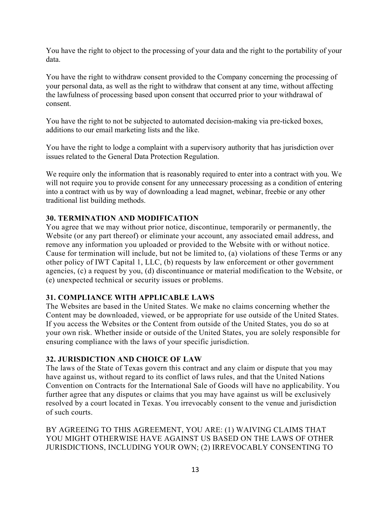You have the right to object to the processing of your data and the right to the portability of your data.

You have the right to withdraw consent provided to the Company concerning the processing of your personal data, as well as the right to withdraw that consent at any time, without affecting the lawfulness of processing based upon consent that occurred prior to your withdrawal of consent.

You have the right to not be subjected to automated decision-making via pre-ticked boxes, additions to our email marketing lists and the like.

You have the right to lodge a complaint with a supervisory authority that has jurisdiction over issues related to the General Data Protection Regulation.

We require only the information that is reasonably required to enter into a contract with you. We will not require you to provide consent for any unnecessary processing as a condition of entering into a contract with us by way of downloading a lead magnet, webinar, freebie or any other traditional list building methods.

# 30. TERMINATION AND MODIFICATION

You agree that we may without prior notice, discontinue, temporarily or permanently, the Website (or any part thereof) or eliminate your account, any associated email address, and remove any information you uploaded or provided to the Website with or without notice. Cause for termination will include, but not be limited to, (a) violations of these Terms or any other policy of IWT Capital 1, LLC, (b) requests by law enforcement or other government agencies, (c) a request by you, (d) discontinuance or material modification to the Website, or (e) unexpected technical or security issues or problems.

### 31. COMPLIANCE WITH APPLICABLE LAWS

The Websites are based in the United States. We make no claims concerning whether the Content may be downloaded, viewed, or be appropriate for use outside of the United States. If you access the Websites or the Content from outside of the United States, you do so at your own risk. Whether inside or outside of the United States, you are solely responsible for ensuring compliance with the laws of your specific jurisdiction.

### 32. JURISDICTION AND CHOICE OF LAW

The laws of the State of Texas govern this contract and any claim or dispute that you may have against us, without regard to its conflict of laws rules, and that the United Nations Convention on Contracts for the International Sale of Goods will have no applicability. You further agree that any disputes or claims that you may have against us will be exclusively resolved by a court located in Texas. You irrevocably consent to the venue and jurisdiction of such courts.

BY AGREEING TO THIS AGREEMENT, YOU ARE: (1) WAIVING CLAIMS THAT YOU MIGHT OTHERWISE HAVE AGAINST US BASED ON THE LAWS OF OTHER JURISDICTIONS, INCLUDING YOUR OWN; (2) IRREVOCABLY CONSENTING TO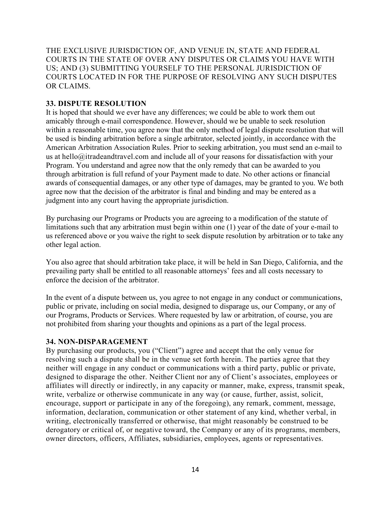THE EXCLUSIVE JURISDICTION OF, AND VENUE IN, STATE AND FEDERAL COURTS IN THE STATE OF OVER ANY DISPUTES OR CLAIMS YOU HAVE WITH US; AND (3) SUBMITTING YOURSELF TO THE PERSONAL JURISDICTION OF COURTS LOCATED IN FOR THE PURPOSE OF RESOLVING ANY SUCH DISPUTES OR CLAIMS.

## 33. DISPUTE RESOLUTION

It is hoped that should we ever have any differences; we could be able to work them out amicably through e-mail correspondence. However, should we be unable to seek resolution within a reasonable time, you agree now that the only method of legal dispute resolution that will be used is binding arbitration before a single arbitrator, selected jointly, in accordance with the American Arbitration Association Rules. Prior to seeking arbitration, you must send an e-mail to us at hello@itradeandtravel.com and include all of your reasons for dissatisfaction with your Program. You understand and agree now that the only remedy that can be awarded to you through arbitration is full refund of your Payment made to date. No other actions or financial awards of consequential damages, or any other type of damages, may be granted to you. We both agree now that the decision of the arbitrator is final and binding and may be entered as a judgment into any court having the appropriate jurisdiction.

By purchasing our Programs or Products you are agreeing to a modification of the statute of limitations such that any arbitration must begin within one (1) year of the date of your e-mail to us referenced above or you waive the right to seek dispute resolution by arbitration or to take any other legal action.

You also agree that should arbitration take place, it will be held in San Diego, California, and the prevailing party shall be entitled to all reasonable attorneys' fees and all costs necessary to enforce the decision of the arbitrator.

In the event of a dispute between us, you agree to not engage in any conduct or communications, public or private, including on social media, designed to disparage us, our Company, or any of our Programs, Products or Services. Where requested by law or arbitration, of course, you are not prohibited from sharing your thoughts and opinions as a part of the legal process.

### 34. NON-DISPARAGEMENT

By purchasing our products, you ("Client") agree and accept that the only venue for resolving such a dispute shall be in the venue set forth herein. The parties agree that they neither will engage in any conduct or communications with a third party, public or private, designed to disparage the other. Neither Client nor any of Client's associates, employees or affiliates will directly or indirectly, in any capacity or manner, make, express, transmit speak, write, verbalize or otherwise communicate in any way (or cause, further, assist, solicit, encourage, support or participate in any of the foregoing), any remark, comment, message, information, declaration, communication or other statement of any kind, whether verbal, in writing, electronically transferred or otherwise, that might reasonably be construed to be derogatory or critical of, or negative toward, the Company or any of its programs, members, owner directors, officers, Affiliates, subsidiaries, employees, agents or representatives.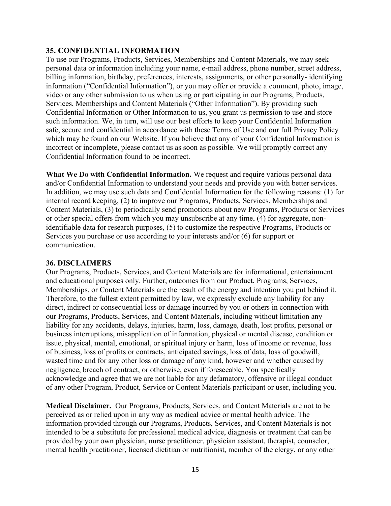#### 35. CONFIDENTIAL INFORMATION

To use our Programs, Products, Services, Memberships and Content Materials, we may seek personal data or information including your name, e-mail address, phone number, street address, billing information, birthday, preferences, interests, assignments, or other personally- identifying information ("Confidential Information"), or you may offer or provide a comment, photo, image, video or any other submission to us when using or participating in our Programs, Products, Services, Memberships and Content Materials ("Other Information"). By providing such Confidential Information or Other Information to us, you grant us permission to use and store such information. We, in turn, will use our best efforts to keep your Confidential Information safe, secure and confidential in accordance with these Terms of Use and our full Privacy Policy which may be found on our Website. If you believe that any of your Confidential Information is incorrect or incomplete, please contact us as soon as possible. We will promptly correct any Confidential Information found to be incorrect.

What We Do with Confidential Information. We request and require various personal data and/or Confidential Information to understand your needs and provide you with better services. In addition, we may use such data and Confidential Information for the following reasons: (1) for internal record keeping, (2) to improve our Programs, Products, Services, Memberships and Content Materials, (3) to periodically send promotions about new Programs, Products or Services or other special offers from which you may unsubscribe at any time, (4) for aggregate, nonidentifiable data for research purposes, (5) to customize the respective Programs, Products or Services you purchase or use according to your interests and/or (6) for support or communication.

#### 36. DISCLAIMERS

Our Programs, Products, Services, and Content Materials are for informational, entertainment and educational purposes only. Further, outcomes from our Product, Programs, Services, Memberships, or Content Materials are the result of the energy and intention you put behind it. Therefore, to the fullest extent permitted by law, we expressly exclude any liability for any direct, indirect or consequential loss or damage incurred by you or others in connection with our Programs, Products, Services, and Content Materials, including without limitation any liability for any accidents, delays, injuries, harm, loss, damage, death, lost profits, personal or business interruptions, misapplication of information, physical or mental disease, condition or issue, physical, mental, emotional, or spiritual injury or harm, loss of income or revenue, loss of business, loss of profits or contracts, anticipated savings, loss of data, loss of goodwill, wasted time and for any other loss or damage of any kind, however and whether caused by negligence, breach of contract, or otherwise, even if foreseeable. You specifically acknowledge and agree that we are not liable for any defamatory, offensive or illegal conduct of any other Program, Product, Service or Content Materials participant or user, including you.

Medical Disclaimer. Our Programs, Products, Services, and Content Materials are not to be perceived as or relied upon in any way as medical advice or mental health advice. The information provided through our Programs, Products, Services, and Content Materials is not intended to be a substitute for professional medical advice, diagnosis or treatment that can be provided by your own physician, nurse practitioner, physician assistant, therapist, counselor, mental health practitioner, licensed dietitian or nutritionist, member of the clergy, or any other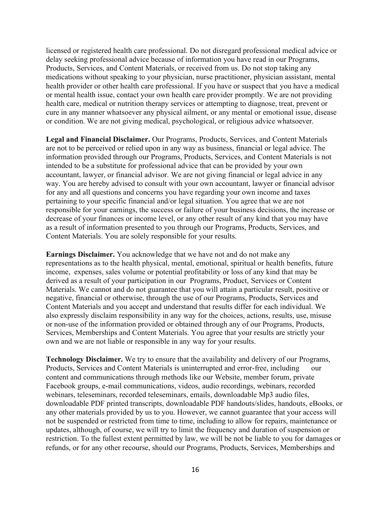licensed or registered health care professional. Do not disregard professional medical advice or delay seeking professional advice because of information you have read in our Programs, Products, Services, and Content Materials, or received from us. Do not stop taking any medications without speaking to your physician, nurse practitioner, physician assistant, mental health provider or other health care professional. If you have or suspect that you have a medical or mental health issue, contact your own health care provider promptly. We are not providing health care, medical or nutrition therapy services or attempting to diagnose, treat, prevent or cure in any manner whatsoever any physical ailment, or any mental or emotional issue, disease or condition. We are not giving medical, psychological, or religious advice whatsoever.

Legal and Financial Disclaimer. Our Programs, Products, Services, and Content Materials are not to be perceived or relied upon in any way as business, financial or legal advice. The information provided through our Programs, Products, Services, and Content Materials is not intended to be a substitute for professional advice that can be provided by your own accountant, lawyer, or financial advisor. We are not giving financial or legal advice in any way. You are hereby advised to consult with your own accountant, lawyer or financial advisor for any and all questions and concerns you have regarding your own income and taxes pertaining to your specific financial and/or legal situation. You agree that we are not responsible for your earnings, the success or failure of your business decisions, the increase or decrease of your finances or income level, or any other result of any kind that you may have as a result of information presented to you through our Programs, Products, Services, and Content Materials. You are solely responsible for your results.

Earnings Disclaimer. You acknowledge that we have not and do not make any representations as to the health physical, mental, emotional, spiritual or health benefits, future income, expenses, sales volume or potential profitability or loss of any kind that may be derived as a result of your participation in our Programs, Product, Services or Content Materials. We cannot and do not guarantee that you will attain a particular result, positive or negative, financial or otherwise, through the use of our Programs, Products, Services and Content Materials and you accept and understand that results differ for each individual. We also expressly disclaim responsibility in any way for the choices, actions, results, use, misuse or non-use of the information provided or obtained through any of our Programs, Products, Services, Memberships and Content Materials. You agree that your results are strictly your own and we are not liable or responsible in any way for your results.

Technology Disclaimer. We try to ensure that the availability and delivery of our Programs, Products, Services and Content Materials is uninterrupted and error-free, including our content and communications through methods like our Website, member forum, private Facebook groups, e-mail communications, videos, audio recordings, webinars, recorded webinars, teleseminars, recorded teleseminars, emails, downloadable Mp3 audio files, downloadable PDF printed transcripts, downloadable PDF handouts/slides, handouts, eBooks, or any other materials provided by us to you. However, we cannot guarantee that your access will not be suspended or restricted from time to time, including to allow for repairs, maintenance or updates, although, of course, we will try to limit the frequency and duration of suspension or restriction. To the fullest extent permitted by law, we will be not be liable to you for damages or refunds, or for any other recourse, should our Programs, Products, Services, Memberships and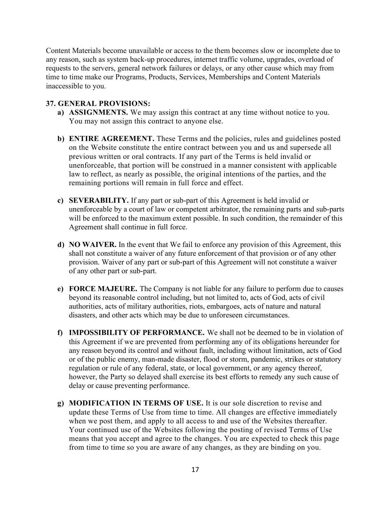Content Materials become unavailable or access to the them becomes slow or incomplete due to any reason, such as system back-up procedures, internet traffic volume, upgrades, overload of requests to the servers, general network failures or delays, or any other cause which may from time to time make our Programs, Products, Services, Memberships and Content Materials inaccessible to you.

### 37. GENERAL PROVISIONS:

- a) ASSIGNMENTS. We may assign this contract at any time without notice to you. You may not assign this contract to anyone else.
- b) ENTIRE AGREEMENT. These Terms and the policies, rules and guidelines posted on the Website constitute the entire contract between you and us and supersede all previous written or oral contracts. If any part of the Terms is held invalid or unenforceable, that portion will be construed in a manner consistent with applicable law to reflect, as nearly as possible, the original intentions of the parties, and the remaining portions will remain in full force and effect.
- c) SEVERABILITY. If any part or sub-part of this Agreement is held invalid or unenforceable by a court of law or competent arbitrator, the remaining parts and sub-parts will be enforced to the maximum extent possible. In such condition, the remainder of this Agreement shall continue in full force.
- d) NO WAIVER. In the event that We fail to enforce any provision of this Agreement, this shall not constitute a waiver of any future enforcement of that provision or of any other provision. Waiver of any part or sub-part of this Agreement will not constitute a waiver of any other part or sub-part.
- e) FORCE MAJEURE. The Company is not liable for any failure to perform due to causes beyond its reasonable control including, but not limited to, acts of God, acts of civil authorities, acts of military authorities, riots, embargoes, acts of nature and natural disasters, and other acts which may be due to unforeseen circumstances.
- f) IMPOSSIBILITY OF PERFORMANCE. We shall not be deemed to be in violation of this Agreement if we are prevented from performing any of its obligations hereunder for any reason beyond its control and without fault, including without limitation, acts of God or of the public enemy, man-made disaster, flood or storm, pandemic, strikes or statutory regulation or rule of any federal, state, or local government, or any agency thereof, however, the Party so delayed shall exercise its best efforts to remedy any such cause of delay or cause preventing performance.
- g) MODIFICATION IN TERMS OF USE. It is our sole discretion to revise and update these Terms of Use from time to time. All changes are effective immediately when we post them, and apply to all access to and use of the Websites thereafter. Your continued use of the Websites following the posting of revised Terms of Use means that you accept and agree to the changes. You are expected to check this page from time to time so you are aware of any changes, as they are binding on you.